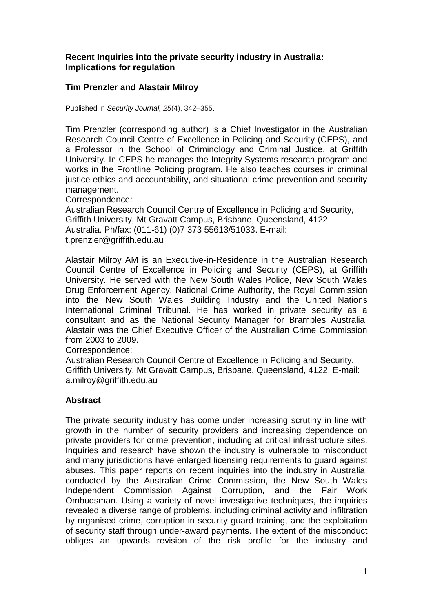#### **Recent Inquiries into the private security industry in Australia: Implications for regulation**

# **Tim Prenzler and Alastair Milroy**

Published in *Security Journal, 25*(4), 342–355.

Tim Prenzler (corresponding author) is a Chief Investigator in the Australian Research Council Centre of Excellence in Policing and Security (CEPS), and a Professor in the School of Criminology and Criminal Justice, at Griffith University. In CEPS he manages the Integrity Systems research program and works in the Frontline Policing program. He also teaches courses in criminal justice ethics and accountability, and situational crime prevention and security management.

Correspondence:

Australian Research Council Centre of Excellence in Policing and Security, Griffith University, Mt Gravatt Campus, Brisbane, Queensland, 4122, Australia. Ph/fax: (011-61) (0)7 373 55613/51033. E-mail: t.prenzler@griffith.edu.au

Alastair Milroy AM is an Executive-in-Residence in the Australian Research Council Centre of Excellence in Policing and Security (CEPS), at Griffith University. He served with the New South Wales Police, New South Wales Drug Enforcement Agency, National Crime Authority, the Royal Commission into the New South Wales Building Industry and the United Nations International Criminal Tribunal. He has worked in private security as a consultant and as the National Security Manager for Brambles Australia. Alastair was the Chief Executive Officer of the Australian Crime Commission from 2003 to 2009.

Correspondence:

Australian Research Council Centre of Excellence in Policing and Security, Griffith University, Mt Gravatt Campus, Brisbane, Queensland, 4122. E-mail: a.milroy@griffith.edu.au

# **Abstract**

The private security industry has come under increasing scrutiny in line with growth in the number of security providers and increasing dependence on private providers for crime prevention, including at critical infrastructure sites. Inquiries and research have shown the industry is vulnerable to misconduct and many jurisdictions have enlarged licensing requirements to guard against abuses. This paper reports on recent inquiries into the industry in Australia, conducted by the Australian Crime Commission, the New South Wales Independent Commission Against Corruption, and the Fair Work Ombudsman. Using a variety of novel investigative techniques, the inquiries revealed a diverse range of problems, including criminal activity and infiltration by organised crime, corruption in security guard training, and the exploitation of security staff through under-award payments. The extent of the misconduct obliges an upwards revision of the risk profile for the industry and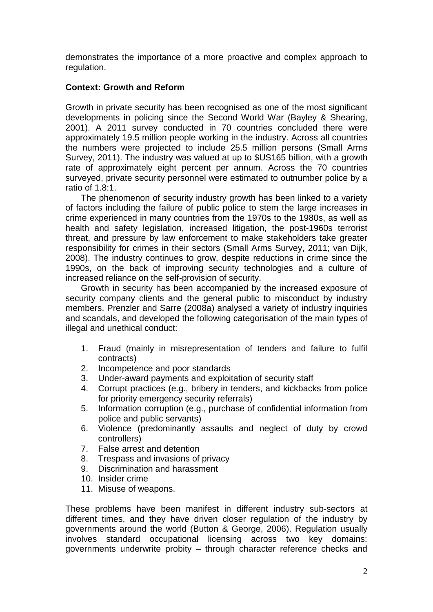demonstrates the importance of a more proactive and complex approach to regulation.

## **Context: Growth and Reform**

Growth in private security has been recognised as one of the most significant developments in policing since the Second World War (Bayley & Shearing, 2001). A 2011 survey conducted in 70 countries concluded there were approximately 19.5 million people working in the industry. Across all countries the numbers were projected to include 25.5 million persons (Small Arms Survey, 2011). The industry was valued at up to \$US165 billion, with a growth rate of approximately eight percent per annum. Across the 70 countries surveyed, private security personnel were estimated to outnumber police by a ratio of 1.8:1.

The phenomenon of security industry growth has been linked to a variety of factors including the failure of public police to stem the large increases in crime experienced in many countries from the 1970s to the 1980s, as well as health and safety legislation, increased litigation, the post-1960s terrorist threat, and pressure by law enforcement to make stakeholders take greater responsibility for crimes in their sectors (Small Arms Survey, 2011; van Dijk, 2008). The industry continues to grow, despite reductions in crime since the 1990s, on the back of improving security technologies and a culture of increased reliance on the self-provision of security.

Growth in security has been accompanied by the increased exposure of security company clients and the general public to misconduct by industry members. Prenzler and Sarre (2008a) analysed a variety of industry inquiries and scandals, and developed the following categorisation of the main types of illegal and unethical conduct:

- 1. Fraud (mainly in misrepresentation of tenders and failure to fulfil contracts)
- 2. Incompetence and poor standards
- 3. Under-award payments and exploitation of security staff
- 4. Corrupt practices (e.g., bribery in tenders, and kickbacks from police for priority emergency security referrals)
- 5. Information corruption (e.g., purchase of confidential information from police and public servants)
- 6. Violence (predominantly assaults and neglect of duty by crowd controllers)
- 7. False arrest and detention
- 8. Trespass and invasions of privacy
- 9. Discrimination and harassment
- 10. Insider crime
- 11. Misuse of weapons.

These problems have been manifest in different industry sub-sectors at different times, and they have driven closer regulation of the industry by governments around the world (Button & George, 2006). Regulation usually involves standard occupational licensing across two key domains: governments underwrite probity – through character reference checks and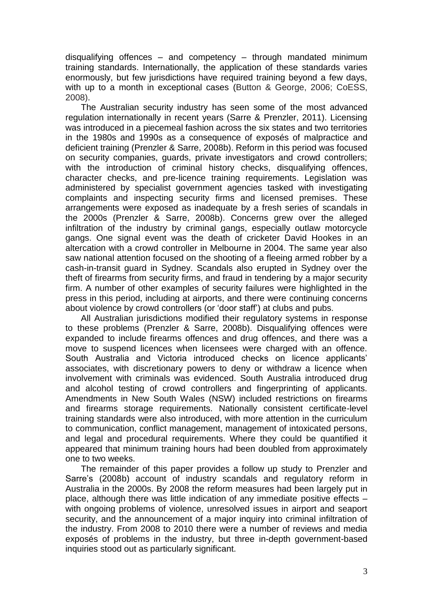disqualifying offences – and competency – through mandated minimum training standards. Internationally, the application of these standards varies enormously, but few jurisdictions have required training beyond a few days, with up to a month in exceptional cases (Button & George, 2006; CoESS, 2008).

The Australian security industry has seen some of the most advanced regulation internationally in recent years (Sarre & Prenzler, 2011). Licensing was introduced in a piecemeal fashion across the six states and two territories in the 1980s and 1990s as a consequence of exposés of malpractice and deficient training (Prenzler & Sarre, 2008b). Reform in this period was focused on security companies, guards, private investigators and crowd controllers; with the introduction of criminal history checks, disqualifying offences, character checks, and pre-licence training requirements. Legislation was administered by specialist government agencies tasked with investigating complaints and inspecting security firms and licensed premises. These arrangements were exposed as inadequate by a fresh series of scandals in the 2000s (Prenzler & Sarre, 2008b). Concerns grew over the alleged infiltration of the industry by criminal gangs, especially outlaw motorcycle gangs. One signal event was the death of cricketer David Hookes in an altercation with a crowd controller in Melbourne in 2004. The same year also saw national attention focused on the shooting of a fleeing armed robber by a cash-in-transit guard in Sydney. Scandals also erupted in Sydney over the theft of firearms from security firms, and fraud in tendering by a major security firm. A number of other examples of security failures were highlighted in the press in this period, including at airports, and there were continuing concerns about violence by crowd controllers (or 'door staff') at clubs and pubs.

All Australian jurisdictions modified their regulatory systems in response to these problems (Prenzler & Sarre, 2008b). Disqualifying offences were expanded to include firearms offences and drug offences, and there was a move to suspend licences when licensees were charged with an offence. South Australia and Victoria introduced checks on licence applicants' associates, with discretionary powers to deny or withdraw a licence when involvement with criminals was evidenced. South Australia introduced drug and alcohol testing of crowd controllers and fingerprinting of applicants. Amendments in New South Wales (NSW) included restrictions on firearms and firearms storage requirements. Nationally consistent certificate-level training standards were also introduced, with more attention in the curriculum to communication, conflict management, management of intoxicated persons, and legal and procedural requirements. Where they could be quantified it appeared that minimum training hours had been doubled from approximately one to two weeks.

The remainder of this paper provides a follow up study to Prenzler and Sarre's (2008b) account of industry scandals and regulatory reform in Australia in the 2000s. By 2008 the reform measures had been largely put in place, although there was little indication of any immediate positive effects – with ongoing problems of violence, unresolved issues in airport and seaport security, and the announcement of a major inquiry into criminal infiltration of the industry. From 2008 to 2010 there were a number of reviews and media exposés of problems in the industry, but three in-depth government-based inquiries stood out as particularly significant.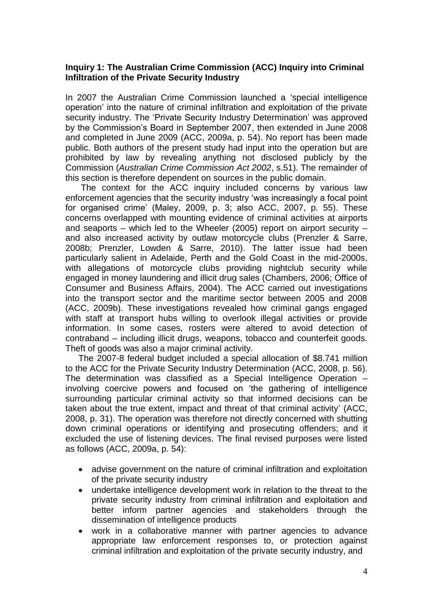#### **Inquiry 1: The Australian Crime Commission (ACC) Inquiry into Criminal Infiltration of the Private Security Industry**

In 2007 the Australian Crime Commission launched a 'special intelligence operation' into the nature of criminal infiltration and exploitation of the private security industry. The 'Private Security Industry Determination' was approved by the Commission's Board in September 2007, then extended in June 2008 and completed in June 2009 (ACC, 2009a, p. 54). No report has been made public. Both authors of the present study had input into the operation but are prohibited by law by revealing anything not disclosed publicly by the Commission (*Australian Crime Commission Act 2002*, s.51). The remainder of this section is therefore dependent on sources in the public domain.

The context for the ACC inquiry included concerns by various law enforcement agencies that the security industry 'was increasingly a focal point for organised crime' (Maley, 2009, p. 3; also ACC, 2007, p. 55). These concerns overlapped with mounting evidence of criminal activities at airports and seaports – which led to the Wheeler (2005) report on airport security – and also increased activity by outlaw motorcycle clubs (Prenzler & Sarre, 2008b; Prenzler, Lowden & Sarre, 2010). The latter issue had been particularly salient in Adelaide, Perth and the Gold Coast in the mid-2000s, with allegations of motorcycle clubs providing nightclub security while engaged in money laundering and illicit drug sales (Chambers, 2006; Office of Consumer and Business Affairs, 2004). The ACC carried out investigations into the transport sector and the maritime sector between 2005 and 2008 (ACC, 2009b). These investigations revealed how criminal gangs engaged with staff at transport hubs willing to overlook illegal activities or provide information. In some cases, rosters were altered to avoid detection of contraband – including illicit drugs, weapons, tobacco and counterfeit goods. Theft of goods was also a major criminal activity.

The 2007-8 federal budget included a special allocation of \$8.741 million to the ACC for the Private Security Industry Determination (ACC, 2008, p. 56). The determination was classified as a Special Intelligence Operation – involving coercive powers and focused on 'the gathering of intelligence surrounding particular criminal activity so that informed decisions can be taken about the true extent, impact and threat of that criminal activity' (ACC, 2008, p. 31). The operation was therefore not directly concerned with shutting down criminal operations or identifying and prosecuting offenders; and it excluded the use of listening devices. The final revised purposes were listed as follows (ACC, 2009a, p. 54):

- advise government on the nature of criminal infiltration and exploitation of the private security industry
- undertake intelligence development work in relation to the threat to the private security industry from criminal infiltration and exploitation and better inform partner agencies and stakeholders through the dissemination of intelligence products
- work in a collaborative manner with partner agencies to advance appropriate law enforcement responses to, or protection against criminal infiltration and exploitation of the private security industry, and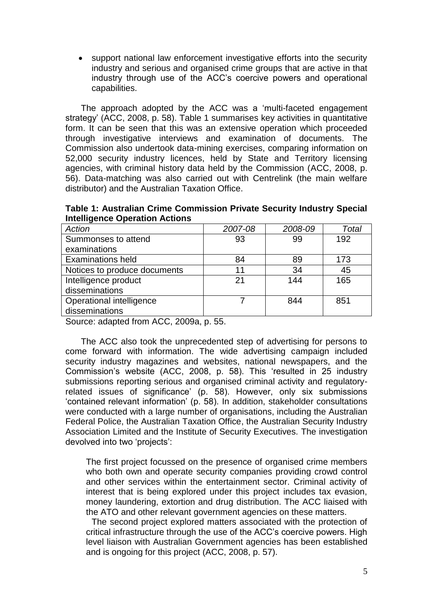support national law enforcement investigative efforts into the security industry and serious and organised crime groups that are active in that industry through use of the ACC's coercive powers and operational capabilities.

The approach adopted by the ACC was a 'multi-faceted engagement strategy' (ACC, 2008, p. 58). Table 1 summarises key activities in quantitative form. It can be seen that this was an extensive operation which proceeded through investigative interviews and examination of documents. The Commission also undertook data-mining exercises, comparing information on 52,000 security industry licences, held by State and Territory licensing agencies, with criminal history data held by the Commission (ACC, 2008, p. 56). Data-matching was also carried out with Centrelink (the main welfare distributor) and the Australian Taxation Office.

**Table 1: Australian Crime Commission Private Security Industry Special Intelligence Operation Actions**

| Action                       | 2007-08 | 2008-09 | Total |
|------------------------------|---------|---------|-------|
| Summonses to attend          | 93      | 99      | 192   |
| examinations                 |         |         |       |
| <b>Examinations held</b>     | 84      | 89      | 173   |
| Notices to produce documents |         | 34      | 45    |
| Intelligence product         | 21      | 144     | 165   |
| disseminations               |         |         |       |
| Operational intelligence     |         | 844     | 851   |
| disseminations               |         |         |       |

Source: adapted from ACC, 2009a, p. 55.

The ACC also took the unprecedented step of advertising for persons to come forward with information. The wide advertising campaign included security industry magazines and websites, national newspapers, and the Commission's website (ACC, 2008, p. 58). This 'resulted in 25 industry submissions reporting serious and organised criminal activity and regulatoryrelated issues of significance' (p. 58). However, only six submissions 'contained relevant information' (p. 58). In addition, stakeholder consultations were conducted with a large number of organisations, including the Australian Federal Police, the Australian Taxation Office, the Australian Security Industry Association Limited and the Institute of Security Executives. The investigation devolved into two 'projects':

The first project focussed on the presence of organised crime members who both own and operate security companies providing crowd control and other services within the entertainment sector. Criminal activity of interest that is being explored under this project includes tax evasion, money laundering, extortion and drug distribution. The ACC liaised with the ATO and other relevant government agencies on these matters.

The second project explored matters associated with the protection of critical infrastructure through the use of the ACC's coercive powers. High level liaison with Australian Government agencies has been established and is ongoing for this project (ACC, 2008, p. 57).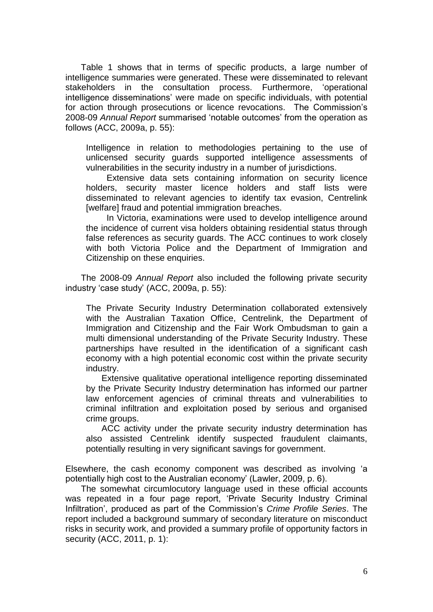Table 1 shows that in terms of specific products, a large number of intelligence summaries were generated. These were disseminated to relevant stakeholders in the consultation process. Furthermore, 'operational intelligence disseminations' were made on specific individuals, with potential for action through prosecutions or licence revocations. The Commission's 2008-09 *Annual Report* summarised 'notable outcomes' from the operation as follows (ACC, 2009a, p. 55):

Intelligence in relation to methodologies pertaining to the use of unlicensed security guards supported intelligence assessments of vulnerabilities in the security industry in a number of jurisdictions.

Extensive data sets containing information on security licence holders, security master licence holders and staff lists were disseminated to relevant agencies to identify tax evasion, Centrelink [welfare] fraud and potential immigration breaches.

In Victoria, examinations were used to develop intelligence around the incidence of current visa holders obtaining residential status through false references as security guards. The ACC continues to work closely with both Victoria Police and the Department of Immigration and Citizenship on these enquiries.

The 2008-09 *Annual Report* also included the following private security industry 'case study' (ACC, 2009a, p. 55):

The Private Security Industry Determination collaborated extensively with the Australian Taxation Office, Centrelink, the Department of Immigration and Citizenship and the Fair Work Ombudsman to gain a multi dimensional understanding of the Private Security Industry. These partnerships have resulted in the identification of a significant cash economy with a high potential economic cost within the private security industry.

Extensive qualitative operational intelligence reporting disseminated by the Private Security Industry determination has informed our partner law enforcement agencies of criminal threats and vulnerabilities to criminal infiltration and exploitation posed by serious and organised crime groups.

ACC activity under the private security industry determination has also assisted Centrelink identify suspected fraudulent claimants, potentially resulting in very significant savings for government.

Elsewhere, the cash economy component was described as involving 'a potentially high cost to the Australian economy' (Lawler, 2009, p. 6).

The somewhat circumlocutory language used in these official accounts was repeated in a four page report, 'Private Security Industry Criminal Infiltration', produced as part of the Commission's *Crime Profile Series*. The report included a background summary of secondary literature on misconduct risks in security work, and provided a summary profile of opportunity factors in security (ACC, 2011, p. 1):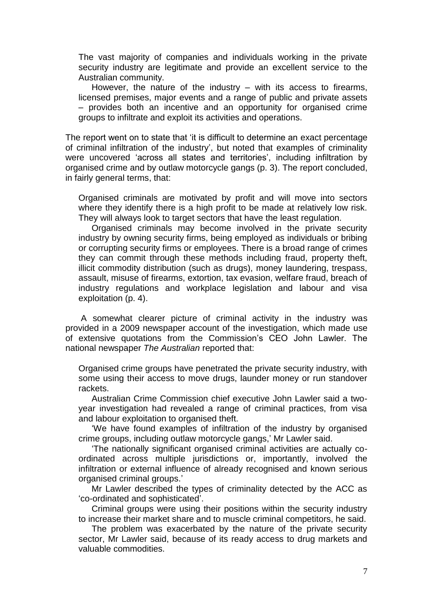The vast majority of companies and individuals working in the private security industry are legitimate and provide an excellent service to the Australian community.

However, the nature of the industry  $-$  with its access to firearms, licensed premises, major events and a range of public and private assets – provides both an incentive and an opportunity for organised crime groups to infiltrate and exploit its activities and operations.

The report went on to state that 'it is difficult to determine an exact percentage of criminal infiltration of the industry', but noted that examples of criminality were uncovered 'across all states and territories', including infiltration by organised crime and by outlaw motorcycle gangs (p. 3). The report concluded, in fairly general terms, that:

Organised criminals are motivated by profit and will move into sectors where they identify there is a high profit to be made at relatively low risk. They will always look to target sectors that have the least regulation.

Organised criminals may become involved in the private security industry by owning security firms, being employed as individuals or bribing or corrupting security firms or employees. There is a broad range of crimes they can commit through these methods including fraud, property theft, illicit commodity distribution (such as drugs), money laundering, trespass, assault, misuse of firearms, extortion, tax evasion, welfare fraud, breach of industry regulations and workplace legislation and labour and visa exploitation (p. 4).

A somewhat clearer picture of criminal activity in the industry was provided in a 2009 newspaper account of the investigation, which made use of extensive quotations from the Commission's CEO John Lawler. The national newspaper *The Australian* reported that:

Organised crime groups have penetrated the private security industry, with some using their access to move drugs, launder money or run standover rackets.

Australian Crime Commission chief executive John Lawler said a twoyear investigation had revealed a range of criminal practices, from visa and labour exploitation to organised theft.

'We have found examples of infiltration of the industry by organised crime groups, including outlaw motorcycle gangs,' Mr Lawler said.

'The nationally significant organised criminal activities are actually coordinated across multiple jurisdictions or, importantly, involved the infiltration or external influence of already recognised and known serious organised criminal groups.'

Mr Lawler described the types of criminality detected by the ACC as 'co-ordinated and sophisticated'.

Criminal groups were using their positions within the security industry to increase their market share and to muscle criminal competitors, he said.

The problem was exacerbated by the nature of the private security sector, Mr Lawler said, because of its ready access to drug markets and valuable commodities.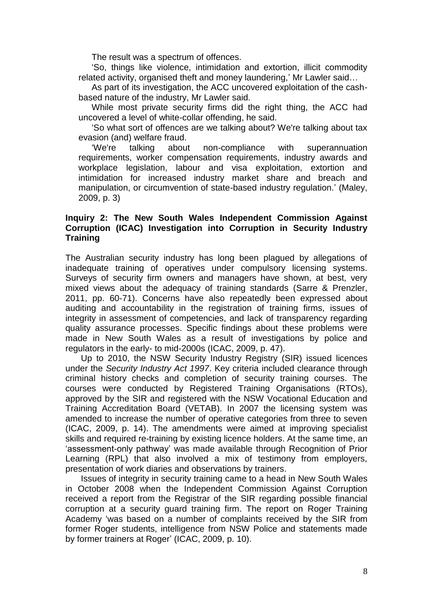The result was a spectrum of offences.

'So, things like violence, intimidation and extortion, illicit commodity related activity, organised theft and money laundering,' Mr Lawler said…

As part of its investigation, the ACC uncovered exploitation of the cashbased nature of the industry, Mr Lawler said.

While most private security firms did the right thing, the ACC had uncovered a level of white-collar offending, he said.

'So what sort of offences are we talking about? We're talking about tax evasion (and) welfare fraud.

'We're talking about non-compliance with superannuation requirements, worker compensation requirements, industry awards and workplace legislation, labour and visa exploitation, extortion and intimidation for increased industry market share and breach and manipulation, or circumvention of state-based industry regulation.' (Maley, 2009, p. 3)

#### **Inquiry 2: The New South Wales Independent Commission Against Corruption (ICAC) Investigation into Corruption in Security Industry Training**

The Australian security industry has long been plagued by allegations of inadequate training of operatives under compulsory licensing systems. Surveys of security firm owners and managers have shown, at best, very mixed views about the adequacy of training standards (Sarre & Prenzler, 2011, pp. 60-71). Concerns have also repeatedly been expressed about auditing and accountability in the registration of training firms, issues of integrity in assessment of competencies, and lack of transparency regarding quality assurance processes. Specific findings about these problems were made in New South Wales as a result of investigations by police and regulators in the early- to mid-2000s (ICAC, 2009, p. 47).

Up to 2010, the NSW Security Industry Registry (SIR) issued licences under the *Security Industry Act 1997*. Key criteria included clearance through criminal history checks and completion of security training courses. The courses were conducted by Registered Training Organisations (RTOs), approved by the SIR and registered with the NSW Vocational Education and Training Accreditation Board (VETAB). In 2007 the licensing system was amended to increase the number of operative categories from three to seven (ICAC, 2009, p. 14). The amendments were aimed at improving specialist skills and required re-training by existing licence holders. At the same time, an 'assessment-only pathway' was made available through Recognition of Prior Learning (RPL) that also involved a mix of testimony from employers, presentation of work diaries and observations by trainers.

Issues of integrity in security training came to a head in New South Wales in October 2008 when the Independent Commission Against Corruption received a report from the Registrar of the SIR regarding possible financial corruption at a security guard training firm. The report on Roger Training Academy 'was based on a number of complaints received by the SIR from former Roger students, intelligence from NSW Police and statements made by former trainers at Roger' (ICAC, 2009, p. 10).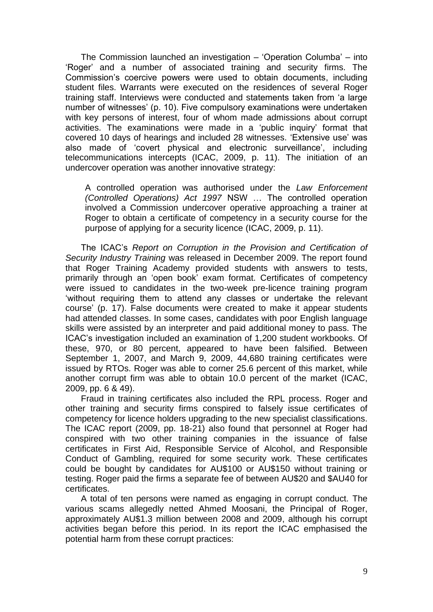The Commission launched an investigation – 'Operation Columba' – into 'Roger' and a number of associated training and security firms. The Commission's coercive powers were used to obtain documents, including student files. Warrants were executed on the residences of several Roger training staff. Interviews were conducted and statements taken from 'a large number of witnesses' (p. 10). Five compulsory examinations were undertaken with key persons of interest, four of whom made admissions about corrupt activities. The examinations were made in a 'public inquiry' format that covered 10 days of hearings and included 28 witnesses. 'Extensive use' was also made of 'covert physical and electronic surveillance', including telecommunications intercepts (ICAC, 2009, p. 11). The initiation of an undercover operation was another innovative strategy:

A controlled operation was authorised under the *Law Enforcement (Controlled Operations) Act 1997* NSW … The controlled operation involved a Commission undercover operative approaching a trainer at Roger to obtain a certificate of competency in a security course for the purpose of applying for a security licence (ICAC, 2009, p. 11).

The ICAC's *Report on Corruption in the Provision and Certification of Security Industry Training* was released in December 2009. The report found that Roger Training Academy provided students with answers to tests, primarily through an 'open book' exam format. Certificates of competency were issued to candidates in the two-week pre-licence training program 'without requiring them to attend any classes or undertake the relevant course' (p. 17). False documents were created to make it appear students had attended classes. In some cases, candidates with poor English language skills were assisted by an interpreter and paid additional money to pass. The ICAC's investigation included an examination of 1,200 student workbooks. Of these, 970, or 80 percent, appeared to have been falsified. Between September 1, 2007, and March 9, 2009, 44,680 training certificates were issued by RTOs. Roger was able to corner 25.6 percent of this market, while another corrupt firm was able to obtain 10.0 percent of the market (ICAC, 2009, pp. 6 & 49).

Fraud in training certificates also included the RPL process. Roger and other training and security firms conspired to falsely issue certificates of competency for licence holders upgrading to the new specialist classifications. The ICAC report (2009, pp. 18-21) also found that personnel at Roger had conspired with two other training companies in the issuance of false certificates in First Aid, Responsible Service of Alcohol, and Responsible Conduct of Gambling, required for some security work. These certificates could be bought by candidates for AU\$100 or AU\$150 without training or testing. Roger paid the firms a separate fee of between AU\$20 and \$AU40 for certificates.

A total of ten persons were named as engaging in corrupt conduct. The various scams allegedly netted Ahmed Moosani, the Principal of Roger, approximately AU\$1.3 million between 2008 and 2009, although his corrupt activities began before this period. In its report the ICAC emphasised the potential harm from these corrupt practices: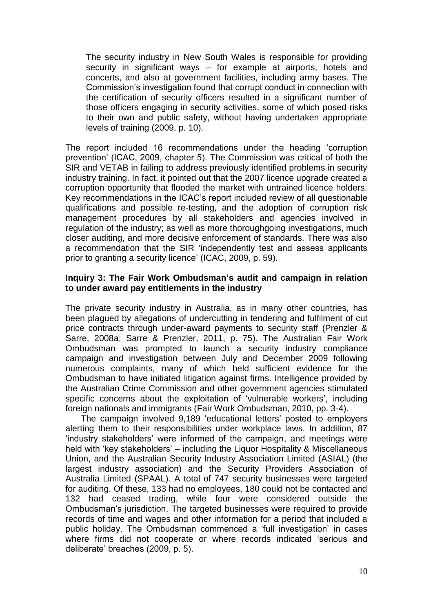The security industry in New South Wales is responsible for providing security in significant ways – for example at airports, hotels and concerts, and also at government facilities, including army bases. The Commission's investigation found that corrupt conduct in connection with the certification of security officers resulted in a significant number of those officers engaging in security activities, some of which posed risks to their own and public safety, without having undertaken appropriate levels of training (2009, p. 10).

The report included 16 recommendations under the heading 'corruption prevention' (ICAC, 2009, chapter 5). The Commission was critical of both the SIR and VETAB in failing to address previously identified problems in security industry training. In fact, it pointed out that the 2007 licence upgrade created a corruption opportunity that flooded the market with untrained licence holders. Key recommendations in the ICAC's report included review of all questionable qualifications and possible re-testing, and the adoption of corruption risk management procedures by all stakeholders and agencies involved in regulation of the industry; as well as more thoroughgoing investigations, much closer auditing, and more decisive enforcement of standards. There was also a recommendation that the SIR 'independently test and assess applicants prior to granting a security licence' (ICAC, 2009, p. 59).

#### **Inquiry 3: The Fair Work Ombudsman's audit and campaign in relation to under award pay entitlements in the industry**

The private security industry in Australia, as in many other countries, has been plagued by allegations of undercutting in tendering and fulfilment of cut price contracts through under-award payments to security staff (Prenzler & Sarre, 2008a; Sarre & Prenzler, 2011, p. 75). The Australian Fair Work Ombudsman was prompted to launch a security industry compliance campaign and investigation between July and December 2009 following numerous complaints, many of which held sufficient evidence for the Ombudsman to have initiated litigation against firms. Intelligence provided by the Australian Crime Commission and other government agencies stimulated specific concerns about the exploitation of 'vulnerable workers', including foreign nationals and immigrants (Fair Work Ombudsman, 2010, pp. 3-4).

The campaign involved 9,189 'educational letters' posted to employers alerting them to their responsibilities under workplace laws. In addition, 87 'industry stakeholders' were informed of the campaign, and meetings were held with 'key stakeholders' – including the Liquor Hospitality & Miscellaneous Union, and the Australian Security Industry Association Limited (ASIAL) (the largest industry association) and the Security Providers Association of Australia Limited (SPAAL). A total of 747 security businesses were targeted for auditing. Of these, 133 had no employees, 180 could not be contacted and 132 had ceased trading, while four were considered outside the Ombudsman's jurisdiction. The targeted businesses were required to provide records of time and wages and other information for a period that included a public holiday. The Ombudsman commenced a 'full investigation' in cases where firms did not cooperate or where records indicated 'serious and deliberate' breaches (2009, p. 5).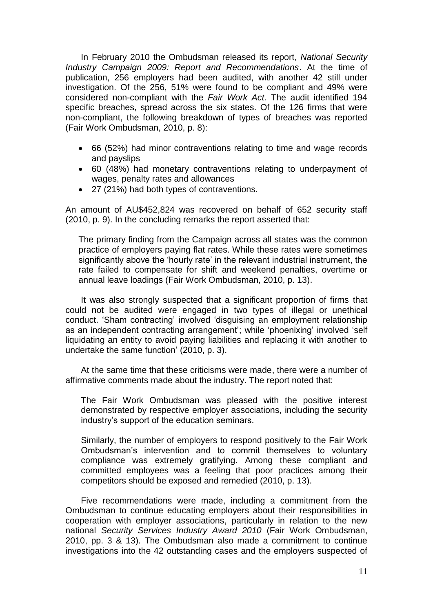In February 2010 the Ombudsman released its report, *National Security Industry Campaign 2009: Report and Recommendations*. At the time of publication, 256 employers had been audited, with another 42 still under investigation. Of the 256, 51% were found to be compliant and 49% were considered non-compliant with the *Fair Work Act*. The audit identified 194 specific breaches, spread across the six states. Of the 126 firms that were non-compliant, the following breakdown of types of breaches was reported (Fair Work Ombudsman, 2010, p. 8):

- 66 (52%) had minor contraventions relating to time and wage records and payslips
- 60 (48%) had monetary contraventions relating to underpayment of wages, penalty rates and allowances
- 27 (21%) had both types of contraventions.

An amount of AU\$452,824 was recovered on behalf of 652 security staff (2010, p. 9). In the concluding remarks the report asserted that:

The primary finding from the Campaign across all states was the common practice of employers paying flat rates. While these rates were sometimes significantly above the 'hourly rate' in the relevant industrial instrument, the rate failed to compensate for shift and weekend penalties, overtime or annual leave loadings (Fair Work Ombudsman, 2010, p. 13).

It was also strongly suspected that a significant proportion of firms that could not be audited were engaged in two types of illegal or unethical conduct. 'Sham contracting' involved 'disguising an employment relationship as an independent contracting arrangement'; while 'phoenixing' involved 'self liquidating an entity to avoid paying liabilities and replacing it with another to undertake the same function' (2010, p. 3).

At the same time that these criticisms were made, there were a number of affirmative comments made about the industry. The report noted that:

The Fair Work Ombudsman was pleased with the positive interest demonstrated by respective employer associations, including the security industry's support of the education seminars.

Similarly, the number of employers to respond positively to the Fair Work Ombudsman's intervention and to commit themselves to voluntary compliance was extremely gratifying. Among these compliant and committed employees was a feeling that poor practices among their competitors should be exposed and remedied (2010, p. 13).

Five recommendations were made, including a commitment from the Ombudsman to continue educating employers about their responsibilities in cooperation with employer associations, particularly in relation to the new national *Security Services Industry Award 2010* (Fair Work Ombudsman, 2010, pp. 3 & 13). The Ombudsman also made a commitment to continue investigations into the 42 outstanding cases and the employers suspected of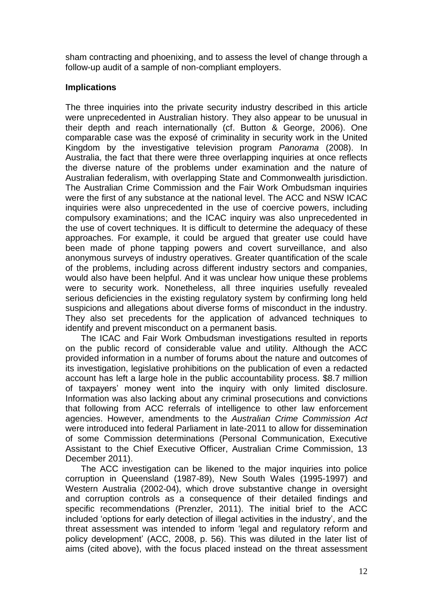sham contracting and phoenixing, and to assess the level of change through a follow-up audit of a sample of non-compliant employers.

### **Implications**

The three inquiries into the private security industry described in this article were unprecedented in Australian history. They also appear to be unusual in their depth and reach internationally (cf. Button & George, 2006). One comparable case was the exposé of criminality in security work in the United Kingdom by the investigative television program *Panorama* (2008). In Australia, the fact that there were three overlapping inquiries at once reflects the diverse nature of the problems under examination and the nature of Australian federalism, with overlapping State and Commonwealth jurisdiction. The Australian Crime Commission and the Fair Work Ombudsman inquiries were the first of any substance at the national level. The ACC and NSW ICAC inquiries were also unprecedented in the use of coercive powers, including compulsory examinations; and the ICAC inquiry was also unprecedented in the use of covert techniques. It is difficult to determine the adequacy of these approaches. For example, it could be argued that greater use could have been made of phone tapping powers and covert surveillance, and also anonymous surveys of industry operatives. Greater quantification of the scale of the problems, including across different industry sectors and companies, would also have been helpful. And it was unclear how unique these problems were to security work. Nonetheless, all three inquiries usefully revealed serious deficiencies in the existing regulatory system by confirming long held suspicions and allegations about diverse forms of misconduct in the industry. They also set precedents for the application of advanced techniques to identify and prevent misconduct on a permanent basis.

The ICAC and Fair Work Ombudsman investigations resulted in reports on the public record of considerable value and utility. Although the ACC provided information in a number of forums about the nature and outcomes of its investigation, legislative prohibitions on the publication of even a redacted account has left a large hole in the public accountability process. \$8.7 million of taxpayers' money went into the inquiry with only limited disclosure. Information was also lacking about any criminal prosecutions and convictions that following from ACC referrals of intelligence to other law enforcement agencies. However, amendments to the *Australian Crime Commission Act* were introduced into federal Parliament in late-2011 to allow for dissemination of some Commission determinations (Personal Communication, Executive Assistant to the Chief Executive Officer, Australian Crime Commission, 13 December 2011).

The ACC investigation can be likened to the major inquiries into police corruption in Queensland (1987-89), New South Wales (1995-1997) and Western Australia (2002-04), which drove substantive change in oversight and corruption controls as a consequence of their detailed findings and specific recommendations (Prenzler, 2011). The initial brief to the ACC included 'options for early detection of illegal activities in the industry', and the threat assessment was intended to inform 'legal and regulatory reform and policy development' (ACC, 2008, p. 56). This was diluted in the later list of aims (cited above), with the focus placed instead on the threat assessment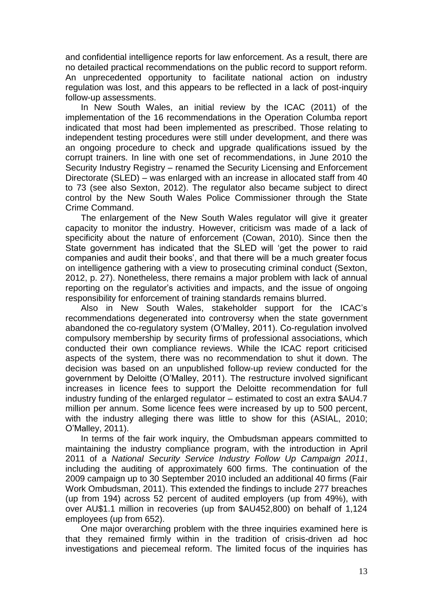and confidential intelligence reports for law enforcement. As a result, there are no detailed practical recommendations on the public record to support reform. An unprecedented opportunity to facilitate national action on industry regulation was lost, and this appears to be reflected in a lack of post-inquiry follow-up assessments.

In New South Wales, an initial review by the ICAC (2011) of the implementation of the 16 recommendations in the Operation Columba report indicated that most had been implemented as prescribed. Those relating to independent testing procedures were still under development, and there was an ongoing procedure to check and upgrade qualifications issued by the corrupt trainers. In line with one set of recommendations, in June 2010 the Security Industry Registry – renamed the Security Licensing and Enforcement Directorate (SLED) – was enlarged with an increase in allocated staff from 40 to 73 (see also Sexton, 2012). The regulator also became subject to direct control by the New South Wales Police Commissioner through the State Crime Command.

The enlargement of the New South Wales regulator will give it greater capacity to monitor the industry. However, criticism was made of a lack of specificity about the nature of enforcement (Cowan, 2010). Since then the State government has indicated that the SLED will 'get the power to raid companies and audit their books', and that there will be a much greater focus on intelligence gathering with a view to prosecuting criminal conduct (Sexton, 2012, p. 27). Nonetheless, there remains a major problem with lack of annual reporting on the regulator's activities and impacts, and the issue of ongoing responsibility for enforcement of training standards remains blurred.

Also in New South Wales, stakeholder support for the ICAC's recommendations degenerated into controversy when the state government abandoned the co-regulatory system (O'Malley, 2011). Co-regulation involved compulsory membership by security firms of professional associations, which conducted their own compliance reviews. While the ICAC report criticised aspects of the system, there was no recommendation to shut it down. The decision was based on an unpublished follow-up review conducted for the government by Deloitte (O'Malley, 2011). The restructure involved significant increases in licence fees to support the Deloitte recommendation for full industry funding of the enlarged regulator – estimated to cost an extra \$AU4.7 million per annum. Some licence fees were increased by up to 500 percent, with the industry alleging there was little to show for this (ASIAL, 2010; O'Malley, 2011).

In terms of the fair work inquiry, the Ombudsman appears committed to maintaining the industry compliance program, with the introduction in April 2011 of a *National Security Service Industry Follow Up Campaign 2011*, including the auditing of approximately 600 firms. The continuation of the 2009 campaign up to 30 September 2010 included an additional 40 firms (Fair Work Ombudsman, 2011). This extended the findings to include 277 breaches (up from 194) across 52 percent of audited employers (up from 49%), with over AU\$1.1 million in recoveries (up from \$AU452,800) on behalf of 1,124 employees (up from 652).

One major overarching problem with the three inquiries examined here is that they remained firmly within in the tradition of crisis-driven ad hoc investigations and piecemeal reform. The limited focus of the inquiries has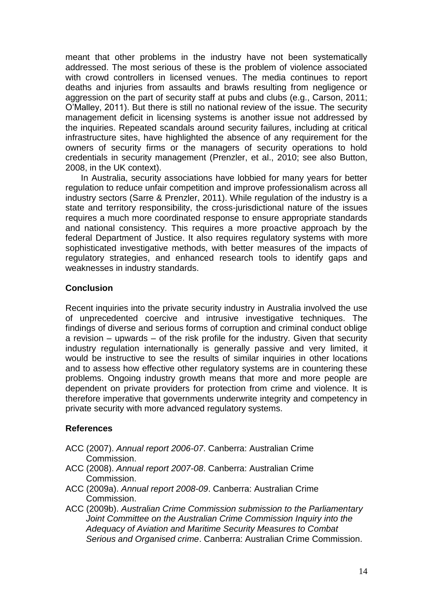meant that other problems in the industry have not been systematically addressed. The most serious of these is the problem of violence associated with crowd controllers in licensed venues. The media continues to report deaths and injuries from assaults and brawls resulting from negligence or aggression on the part of security staff at pubs and clubs (e.g., Carson, 2011; O'Malley, 2011). But there is still no national review of the issue. The security management deficit in licensing systems is another issue not addressed by the inquiries. Repeated scandals around security failures, including at critical infrastructure sites, have highlighted the absence of any requirement for the owners of security firms or the managers of security operations to hold credentials in security management (Prenzler, et al., 2010; see also Button, 2008, in the UK context).

In Australia, security associations have lobbied for many years for better regulation to reduce unfair competition and improve professionalism across all industry sectors (Sarre & Prenzler, 2011). While regulation of the industry is a state and territory responsibility, the cross-jurisdictional nature of the issues requires a much more coordinated response to ensure appropriate standards and national consistency. This requires a more proactive approach by the federal Department of Justice. It also requires regulatory systems with more sophisticated investigative methods, with better measures of the impacts of regulatory strategies, and enhanced research tools to identify gaps and weaknesses in industry standards.

## **Conclusion**

Recent inquiries into the private security industry in Australia involved the use of unprecedented coercive and intrusive investigative techniques. The findings of diverse and serious forms of corruption and criminal conduct oblige a revision – upwards – of the risk profile for the industry. Given that security industry regulation internationally is generally passive and very limited, it would be instructive to see the results of similar inquiries in other locations and to assess how effective other regulatory systems are in countering these problems. Ongoing industry growth means that more and more people are dependent on private providers for protection from crime and violence. It is therefore imperative that governments underwrite integrity and competency in private security with more advanced regulatory systems.

#### **References**

- ACC (2007). *Annual report 2006-07*. Canberra: Australian Crime Commission.
- ACC (2008). *Annual report 2007-08*. Canberra: Australian Crime Commission.
- ACC (2009a). *Annual report 2008-09*. Canberra: Australian Crime Commission.
- ACC (2009b). *Australian Crime Commission submission to the Parliamentary Joint Committee on the Australian Crime Commission Inquiry into the Adequacy of Aviation and Maritime Security Measures to Combat Serious and Organised crime*. Canberra: Australian Crime Commission.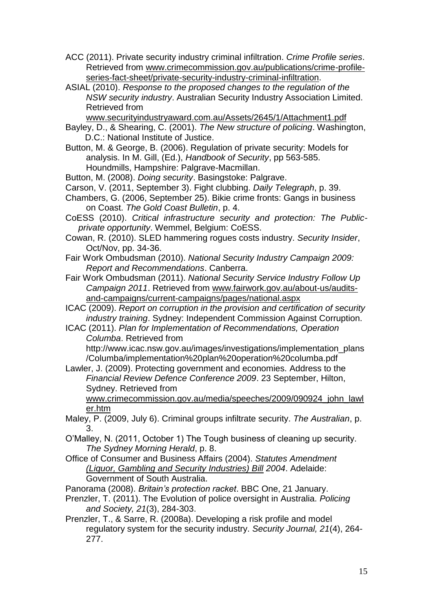- ACC (2011). Private security industry criminal infiltration. *Crime Profile series*. Retrieved from www.crimecommission.gov.au/publications/crime-profileseries-fact-sheet/private-security-industry-criminal-infiltration.
- ASIAL (2010). *Response to the proposed changes to the regulation of the NSW security industry*. Australian Security Industry Association Limited. Retrieved from

www.securityindustryaward.com.au/Assets/2645/1/Attachment1.pdf

- Bayley, D., & Shearing, C. (2001). *The New structure of policing*. Washington, D.C.: National Institute of Justice.
- Button, M. & George, B. (2006). Regulation of private security: Models for analysis. In M. Gill, (Ed.), *Handbook of Security*, pp 563-585. Houndmills, Hampshire: Palgrave-Macmillan.
- Button, M. (2008). *Doing security*. Basingstoke: Palgrave.
- Carson, V. (2011, September 3). Fight clubbing. *Daily Telegraph*, p. 39.
- Chambers, G. (2006, September 25). Bikie crime fronts: Gangs in business on Coast. *The Gold Coast Bulletin*, p. 4.
- CoESS (2010). *Critical infrastructure security and protection: The Publicprivate opportunity*. Wemmel, Belgium: CoESS.
- Cowan, R. (2010). SLED hammering rogues costs industry. *Security Insider*, Oct/Nov, pp. 34-36.
- Fair Work Ombudsman (2010). *National Security Industry Campaign 2009: Report and Recommendations*. Canberra.

Fair Work Ombudsman (2011). *National Security Service Industry Follow Up Campaign 2011*. Retrieved from www.fairwork.gov.au/about-us/auditsand-campaigns/current-campaigns/pages/national.aspx

ICAC (2009). *Report on corruption in the provision and certification of security industry training*. Sydney: Independent Commission Against Corruption.

ICAC (2011). *Plan for Implementation of Recommendations, Operation Columba*. Retrieved from http://www.icac.nsw.gov.au/images/investigations/implementation\_plans

/Columba/implementation%20plan%20operation%20columba.pdf Lawler, J. (2009). Protecting government and economies. Address to the

*Financial Review Defence Conference 2009*. 23 September, Hilton, Sydney. Retrieved from

[www.crimecommission.gov.au/media/speeches/2009/090924\\_john\\_lawl](http://www.crimecommission.gov.au/media/speeches/2009/090924_john_lawler.htm) [er.htm](http://www.crimecommission.gov.au/media/speeches/2009/090924_john_lawler.htm)

- Maley, P. (2009, July 6). Criminal groups infiltrate security. *The Australian*, p. 3.
- O'Malley, N. (2011, October 1) The Tough business of cleaning up security. *The Sydney Morning Herald*, p. 8.
- Office of Consumer and Business Affairs (2004). *Statutes Amendment (Liquor, Gambling and Security Industries) Bill 2004*. Adelaide: Government of South Australia.
- Panorama (2008). *Britain's protection racket*. BBC One, 21 January.
- Prenzler, T. (2011). The Evolution of police oversight in Australia. *Policing and Society, 21*(3), 284-303.
- Prenzler, T., & Sarre, R. (2008a). Developing a risk profile and model regulatory system for the security industry. *Security Journal, 21*(4), 264- 277.